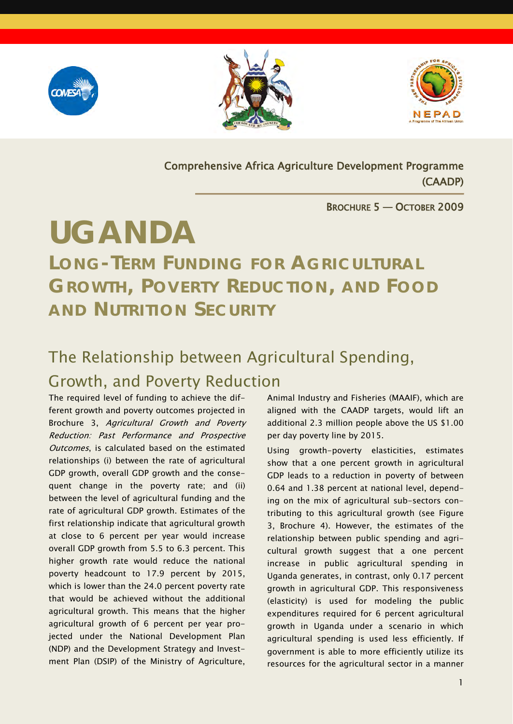





ŗ

Comprehensive Africa Agriculture Development Programme (CAADP)

#### BROCHURE 5 — OCTOBER 2009

# **UGANDA**

*LONG-TERM FUNDING FOR AGRICULTURAL GROWTH, POVERTY REDUCTION, AND FOOD AND NUTRITION SECURITY*

### The Relationship between Agricultural Spending, Growth, and Poverty Reduction

The required level of funding to achieve the different growth and poverty outcomes projected in Brochure 3, Agricultural Growth and Poverty Reduction: Past Performance and Prospective Outcomes, is calculated based on the estimated relationships (i) between the rate of agricultural GDP growth, overall GDP growth and the consequent change in the poverty rate; and (ii) between the level of agricultural funding and the rate of agricultural GDP growth. Estimates of the first relationship indicate that agricultural growth at close to 6 percent per year would increase overall GDP growth from 5.5 to 6.3 percent. This higher growth rate would reduce the national poverty headcount to 17.9 percent by 2015, which is lower than the 24.0 percent poverty rate that would be achieved without the additional agricultural growth. This means that the higher agricultural growth of 6 percent per year projected under the National Development Plan (NDP) and the Development Strategy and Investment Plan (DSIP) of the Ministry of Agriculture,

Animal Industry and Fisheries (MAAIF), which are aligned with the CAADP targets, would lift an additional 2.3 million people above the US \$1.00 per day poverty line by 2015.

Using growth-poverty elasticities, estimates show that a one percent growth in agricultural GDP leads to a reduction in poverty of between 0.64 and 1.38 percent at national level, depending on the mix of agricultural sub-sectors contributing to this agricultural growth (see Figure 3, Brochure 4). However, the estimates of the relationship between public spending and agricultural growth suggest that a one percent increase in public agricultural spending in Uganda generates, in contrast, only 0.17 percent growth in agricultural GDP. This responsiveness (elasticity) is used for modeling the public expenditures required for 6 percent agricultural growth in Uganda under a scenario in which agricultural spending is used less efficiently. If government is able to more efficiently utilize its resources for the agricultural sector in a manner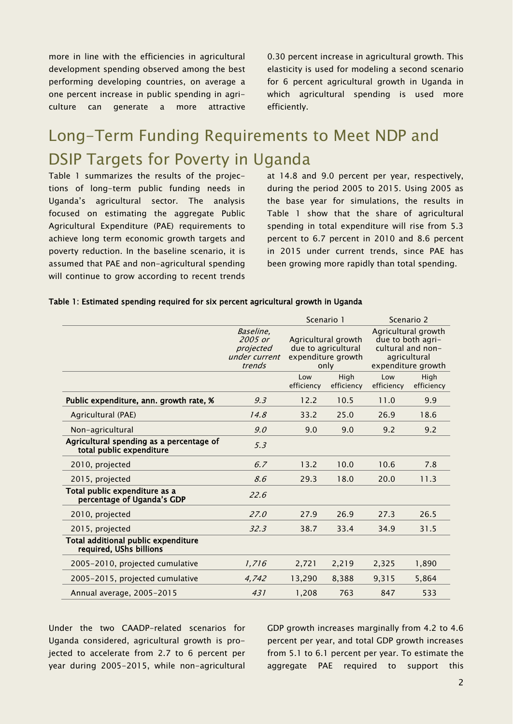more in line with the efficiencies in agricultural development spending observed among the best performing developing countries, on average a one percent increase in public spending in agriculture can generate a more attractive

0.30 percent increase in agricultural growth. This elasticity is used for modeling a second scenario for 6 percent agricultural growth in Uganda in which agricultural spending is used more efficiently.

### Long-Term Funding Requirements to Meet NDP and DSIP Targets for Poverty in Uganda

Table 1 summarizes the results of the projections of long-term public funding needs in Uganda's agricultural sector. The analysis focused on estimating the aggregate Public Agricultural Expenditure (PAE) requirements to achieve long term economic growth targets and poverty reduction. In the baseline scenario, it is assumed that PAE and non-agricultural spending will continue to grow according to recent trends at 14.8 and 9.0 percent per year, respectively, during the period 2005 to 2015. Using 2005 as the base year for simulations, the results in Table 1 show that the share of agricultural spending in total expenditure will rise from 5.3 percent to 6.7 percent in 2010 and 8.6 percent in 2015 under current trends, since PAE has been growing more rapidly than total spending.

#### Table 1: Estimated spending required for six percent agricultural growth in Uganda

|                                                              | Scenario 1                                                               |                    | Scenario 2                                                                                          |                    |
|--------------------------------------------------------------|--------------------------------------------------------------------------|--------------------|-----------------------------------------------------------------------------------------------------|--------------------|
| Baseline,<br>2005 or<br>projected<br>under current<br>trends | Agricultural growth<br>due to agricultural<br>expenditure growth<br>only |                    | Agricultural growth<br>due to both agri-<br>cultural and non-<br>agricultural<br>expenditure growth |                    |
|                                                              | Low<br>efficiency                                                        | High<br>efficiency | Low<br>efficiency                                                                                   | High<br>efficiency |
| 9.3                                                          | 12.2                                                                     | 10.5               | 11.0                                                                                                | 9.9                |
| 14.8                                                         | 33.2                                                                     | 25.0               | 26.9                                                                                                | 18.6               |
| 9.0                                                          | 9.0                                                                      | 9.0                | 9.2                                                                                                 | 9.2                |
| 5.3                                                          |                                                                          |                    |                                                                                                     |                    |
| 6.7                                                          | 13.2                                                                     | 10.0               | 10.6                                                                                                | 7.8                |
| 8.6                                                          | 29.3                                                                     | 18.0               | 20.0                                                                                                | 11.3               |
| 22.6                                                         |                                                                          |                    |                                                                                                     |                    |
| 27.0                                                         | 27.9                                                                     | 26.9               | 27.3                                                                                                | 26.5               |
| 32.3                                                         | 38.7                                                                     | 33.4               | 34.9                                                                                                | 31.5               |
|                                                              |                                                                          |                    |                                                                                                     |                    |
| 1,716                                                        | 2,721                                                                    | 2,219              | 2,325                                                                                               | 1,890              |
| 4,742                                                        | 13,290                                                                   | 8,388              | 9,315                                                                                               | 5,864              |
| 431                                                          | 1.208                                                                    | 763                | 847                                                                                                 | 533                |
|                                                              |                                                                          |                    |                                                                                                     |                    |

Under the two CAADP-related scenarios for Uganda considered, agricultural growth is projected to accelerate from 2.7 to 6 percent per year during 2005-2015, while non-agricultural GDP growth increases marginally from 4.2 to 4.6 percent per year, and total GDP growth increases from 5.1 to 6.1 percent per year. To estimate the aggregate PAE required to support this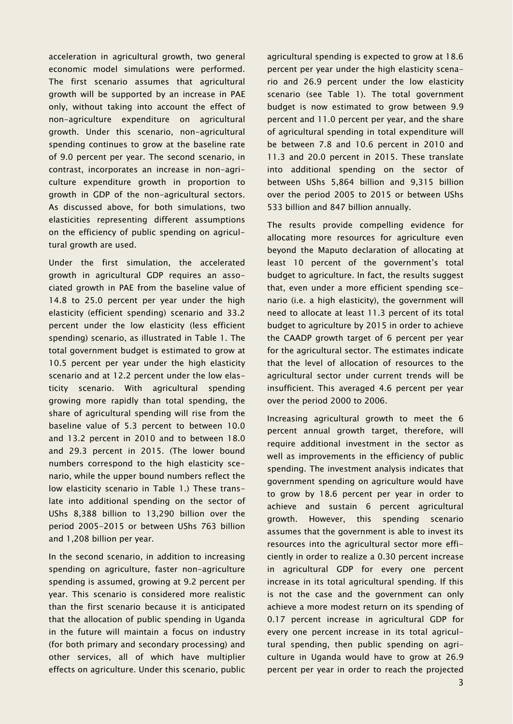acceleration in agricultural growth, two general economic model simulations were performed. The first scenario assumes that agricultural growth will be supported by an increase in PAE only, without taking into account the effect of non-agriculture expenditure on agricultural growth. Under this scenario, non-agricultural spending continues to grow at the baseline rate of 9.0 percent per year. The second scenario, in contrast, incorporates an increase in non-agriculture expenditure growth in proportion to growth in GDP of the non-agricultural sectors. As discussed above, for both simulations, two elasticities representing different assumptions on the efficiency of public spending on agricultural growth are used.

Under the first simulation, the accelerated growth in agricultural GDP requires an associated growth in PAE from the baseline value of 14.8 to 25.0 percent per year under the high elasticity (efficient spending) scenario and 33.2 percent under the low elasticity (less efficient spending) scenario, as illustrated in Table 1. The total government budget is estimated to grow at 10.5 percent per year under the high elasticity scenario and at 12.2 percent under the low elasticity scenario. With agricultural spending growing more rapidly than total spending, the share of agricultural spending will rise from the baseline value of 5.3 percent to between 10.0 and 13.2 percent in 2010 and to between 18.0 and 29.3 percent in 2015. (The lower bound numbers correspond to the high elasticity scenario, while the upper bound numbers reflect the low elasticity scenario in Table 1.) These translate into additional spending on the sector of UShs 8,388 billion to 13,290 billion over the period 2005-2015 or between UShs 763 billion and 1,208 billion per year.

In the second scenario, in addition to increasing spending on agriculture, faster non-agriculture spending is assumed, growing at 9.2 percent per year. This scenario is considered more realistic than the first scenario because it is anticipated that the allocation of public spending in Uganda in the future will maintain a focus on industry (for both primary and secondary processing) and other services, all of which have multiplier effects on agriculture. Under this scenario, public agricultural spending is expected to grow at 18.6 percent per year under the high elasticity scenario and 26.9 percent under the low elasticity scenario (see Table 1). The total government budget is now estimated to grow between 9.9 percent and 11.0 percent per year, and the share of agricultural spending in total expenditure will be between 7.8 and 10.6 percent in 2010 and 11.3 and 20.0 percent in 2015. These translate into additional spending on the sector of between UShs 5,864 billion and 9,315 billion over the period 2005 to 2015 or between UShs 533 billion and 847 billion annually.

The results provide compelling evidence for allocating more resources for agriculture even beyond the Maputo declaration of allocating at least 10 percent of the government's total budget to agriculture. In fact, the results suggest that, even under a more efficient spending scenario (i.e. a high elasticity), the government will need to allocate at least 11.3 percent of its total budget to agriculture by 2015 in order to achieve the CAADP growth target of 6 percent per year for the agricultural sector. The estimates indicate that the level of allocation of resources to the agricultural sector under current trends will be insufficient. This averaged 4.6 percent per year over the period 2000 to 2006.

Increasing agricultural growth to meet the 6 percent annual growth target, therefore, will require additional investment in the sector as well as improvements in the efficiency of public spending. The investment analysis indicates that government spending on agriculture would have to grow by 18.6 percent per year in order to achieve and sustain 6 percent agricultural growth. However, this spending scenario assumes that the government is able to invest its resources into the agricultural sector more efficiently in order to realize a 0.30 percent increase in agricultural GDP for every one percent increase in its total agricultural spending. If this is not the case and the government can only achieve a more modest return on its spending of 0.17 percent increase in agricultural GDP for every one percent increase in its total agricultural spending, then public spending on agriculture in Uganda would have to grow at 26.9 percent per year in order to reach the projected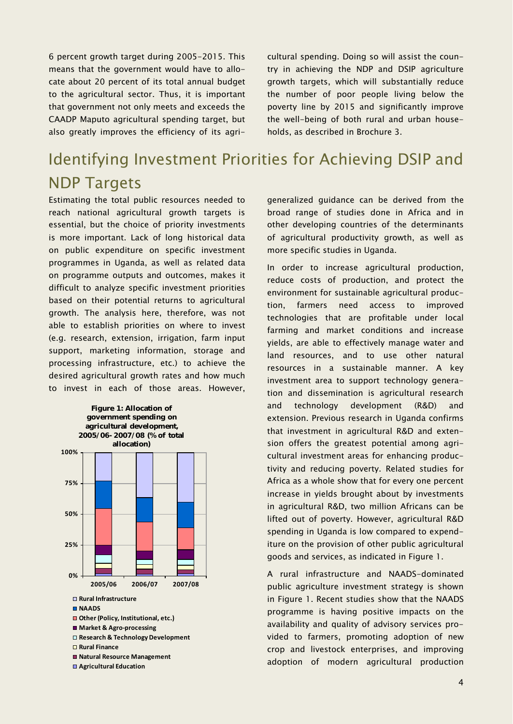6 percent growth target during 2005-2015. This means that the government would have to allocate about 20 percent of its total annual budget to the agricultural sector. Thus, it is important that government not only meets and exceeds the CAADP Maputo agricultural spending target, but also greatly improves the efficiency of its agricultural spending. Doing so will assist the country in achieving the NDP and DSIP agriculture growth targets, which will substantially reduce the number of poor people living below the poverty line by 2015 and significantly improve the well-being of both rural and urban households, as described in Brochure 3.

## Identifying Investment Priorities for Achieving DSIP and **NDP Targets**

Estimating the total public resources needed to reach national agricultural growth targets is essential, but the choice of priority investments is more important. Lack of long historical data on public expenditure on specific investment programmes in Uganda, as well as related data on programme outputs and outcomes, makes it difficult to analyze specific investment priorities based on their potential returns to agricultural growth. The analysis here, therefore, was not able to establish priorities on where to invest (e.g. research, extension, irrigation, farm input support, marketing information, storage and processing infrastructure, etc.) to achieve the desired agricultural growth rates and how much to invest in each of those areas. However,



**Agricultural Education**

generalized guidance can be derived from the broad range of studies done in Africa and in other developing countries of the determinants of agricultural productivity growth, as well as more specific studies in Uganda.

In order to increase agricultural production, reduce costs of production, and protect the environment for sustainable agricultural production, farmers need access to improved technologies that are profitable under local farming and market conditions and increase yields, are able to effectively manage water and land resources, and to use other natural resources in a sustainable manner. A key investment area to support technology generation and dissemination is agricultural research and technology development (R&D) and extension. Previous research in Uganda confirms that investment in agricultural R&D and extension offers the greatest potential among agricultural investment areas for enhancing productivity and reducing poverty. Related studies for Africa as a whole show that for every one percent increase in yields brought about by investments in agricultural R&D, two million Africans can be lifted out of poverty. However, agricultural R&D spending in Uganda is low compared to expenditure on the provision of other public agricultural goods and services, as indicated in Figure 1.

A rural infrastructure and NAADS-dominated public agriculture investment strategy is shown in Figure 1. Recent studies show that the NAADS programme is having positive impacts on the availability and quality of advisory services provided to farmers, promoting adoption of new crop and livestock enterprises, and improving adoption of modern agricultural production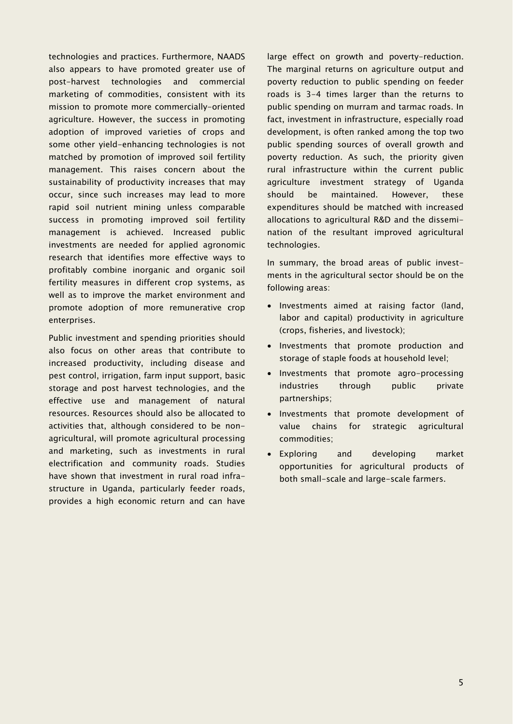technologies and practices. Furthermore, NAADS also appears to have promoted greater use of post-harvest technologies and commercial marketing of commodities, consistent with its mission to promote more commercially-oriented agriculture. However, the success in promoting adoption of improved varieties of crops and some other yield-enhancing technologies is not matched by promotion of improved soil fertility management. This raises concern about the sustainability of productivity increases that may occur, since such increases may lead to more rapid soil nutrient mining unless comparable success in promoting improved soil fertility management is achieved. Increased public investments are needed for applied agronomic research that identifies more effective ways to profitably combine inorganic and organic soil fertility measures in different crop systems, as well as to improve the market environment and promote adoption of more remunerative crop enterprises.

Public investment and spending priorities should also focus on other areas that contribute to increased productivity, including disease and pest control, irrigation, farm input support, basic storage and post harvest technologies, and the effective use and management of natural resources. Resources should also be allocated to activities that, although considered to be nonagricultural, will promote agricultural processing and marketing, such as investments in rural electrification and community roads. Studies have shown that investment in rural road infrastructure in Uganda, particularly feeder roads, provides a high economic return and can have

large effect on growth and poverty-reduction. The marginal returns on agriculture output and poverty reduction to public spending on feeder roads is 3-4 times larger than the returns to public spending on murram and tarmac roads. In fact, investment in infrastructure, especially road development, is often ranked among the top two public spending sources of overall growth and poverty reduction. As such, the priority given rural infrastructure within the current public agriculture investment strategy of Uganda should be maintained. However, these expenditures should be matched with increased allocations to agricultural R&D and the dissemination of the resultant improved agricultural technologies.

In summary, the broad areas of public investments in the agricultural sector should be on the following areas:

- Investments aimed at raising factor (land, labor and capital) productivity in agriculture (crops, fisheries, and livestock);
- Investments that promote production and storage of staple foods at household level;
- Investments that promote agro-processing industries through public private partnerships;
- Investments that promote development of value chains for strategic agricultural commodities;
- Exploring and developing market opportunities for agricultural products of both small-scale and large-scale farmers.